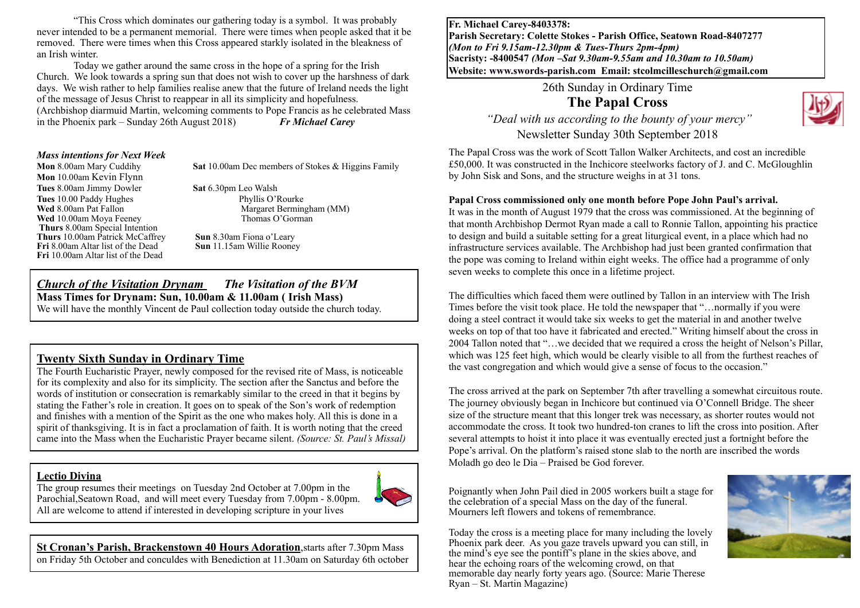"This Cross which dominates our gathering today is a symbol. It was probably never intended to be a permanent memorial. There were times when people asked that it be removed. There were times when this Cross appeared starkly isolated in the bleakness of an Irish winter.

Today we gather around the same cross in the hope of a spring for the Irish Church. We look towards a spring sun that does not wish to cover up the harshness of dark days. We wish rather to help families realise anew that the future of Ireland needs the light of the message of Jesus Christ to reappear in all its simplicity and hopefulness. (Archbishop diarmuid Martin, welcoming comments to Pope Francis as he celebrated Mass<br>in the Phoenix park – Sunday 26th August 2018)<br> $\boldsymbol{F} \boldsymbol{r}$  Michael Carev in the Phoenix park – Sunday 26th August 2018)

#### *Mass intentions for Next Week*

**Mon** 8.00am Mary Cuddihy **Sat** 10.00am Dec members of Stokes & Higgins Family

**Mon** 10.00am Kevin Flynn **Tues** 8.00am Jimmy Dowler **Sat** 6.30pm Leo Walsh **Tues 10.00 Paddy Hughes Phyllis O'Rourke Wed 8.00am Pat Fallon Phyllis O'Rourke Phyllis O'Rourke Phyllis O'Rourke Phyllis O'Rourke Phyllis O'Rourke Phyllis O'Rourke Phyllis O'Rourke Phyllis O'Rourke Phyllis O'Rourke Phyll Wed** 10.00am Moya Feeney **Thurs** 8.00am Special Intention **Thurs** 10.00am Patrick McCaffrey **Sun 8.30am Fiona o'Leary**<br> **Fri 8.00am Altar list of the Dead Sun 11.15am Willie Rooney Fri** 8.00am Altar list of the Dead **Fri** 10.00am Altar list of the Dead

Margaret Bermingham (MM)<br>Thomas O'Gorman

# *Church of the Visitation Drynam**The Visitation of the BVM* **Mass Times for Drynam: Sun, 10.00am & 11.00am ( Irish Mass)**

We will have the monthly Vincent de Paul collection today outside the church today.

#### **Twenty Sixth Sunday in Ordinary Time**

The Fourth Eucharistic Prayer, newly composed for the revised rite of Mass, is noticeable for its complexity and also for its simplicity. The section after the Sanctus and before the words of institution or consecration is remarkably similar to the creed in that it begins by stating the Father's role in creation. It goes on to speak of the Son's work of redemption and finishes with a mention of the Spirit as the one who makes holy. All this is done in a spirit of thanksgiving. It is in fact a proclamation of faith. It is worth noting that the creed came into the Mass when the Eucharistic Prayer became silent. *(Source: St. Paul's Missal)*

#### **Lectio Divina**

The group resumes their meetings on Tuesday 2nd October at 7.00pm in the Parochial,Seatown Road, and will meet every Tuesday from 7.00pm - 8.00pm. All are welcome to attend if interested in developing scripture in your lives



**St Cronan's Parish, Brackenstown 40 Hours Adoration**,starts after 7.30pm Mass on Friday 5th October and conculdes with Benediction at 11.30am on Saturday 6th october **Fr. Michael Carey-8403378: Parish Secretary: Colette Stokes - Parish Office, Seatown Road-8407277**  *(Mon to Fri 9.15am-12.30pm & Tues-Thurs 2pm-4pm)*  **Sacristy: -8400547** *(Mon –Sat 9.30am-9.55am and 10.30am to 10.50am)* **Website: [www.swords-parish.com Email:](http://www.swords-parish.com%20%20email) stcolmcilleschurch@gmail.com**

26th Sunday in Ordinary Time

**The Papal Cross** 



The Papal Cross was the work of Scott Tallon Walker Architects, and cost an incredible £50,000. It was constructed in the Inchicore steelworks factory of J. and C. McGloughlin by John Sisk and Sons, and the structure weighs in at 31 tons.

#### **Papal Cross commissioned only one month before Pope John Paul's arrival.**

It was in the month of August 1979 that the cross was commissioned. At the beginning of that month Archbishop Dermot Ryan made a call to Ronnie Tallon, appointing his practice to design and build a suitable setting for a great liturgical event, in a place which had no infrastructure services available. The Archbishop had just been granted confirmation that the pope was coming to Ireland within eight weeks. The office had a programme of only seven weeks to complete this once in a lifetime project.

The difficulties which faced them were outlined by Tallon in an interview with The Irish Times before the visit took place. He told the newspaper that "…normally if you were doing a steel contract it would take six weeks to get the material in and another twelve weeks on top of that too have it fabricated and erected." Writing himself about the cross in 2004 Tallon noted that "…we decided that we required a cross the height of Nelson's Pillar, which was 125 feet high, which would be clearly visible to all from the furthest reaches of the vast congregation and which would give a sense of focus to the occasion."

The cross arrived at the park on September 7th after travelling a somewhat circuitous route. The journey obviously began in Inchicore but continued via O'Connell Bridge. The sheer size of the structure meant that this longer trek was necessary, as shorter routes would not accommodate the cross. It took two hundred-ton cranes to lift the cross into position. After several attempts to hoist it into place it was eventually erected just a fortnight before the Pope's arrival. On the platform's raised stone slab to the north are inscribed the words Moladh go deo le Dia – Praised be God forever.

Poignantly when John Pail died in 2005 workers built a stage for the celebration of a special Mass on the day of the funeral. Mourners left flowers and tokens of remembrance.

Today the cross is a meeting place for many including the lovely Phoenix park deer. As you gaze travels upward you can still, in the mind's eye see the pontiff's plane in the skies above, and hear the echoing roars of the welcoming crowd, on that memorable day nearly forty years ago. (Source: Marie Therese Ryan – St. Martin Magazine)